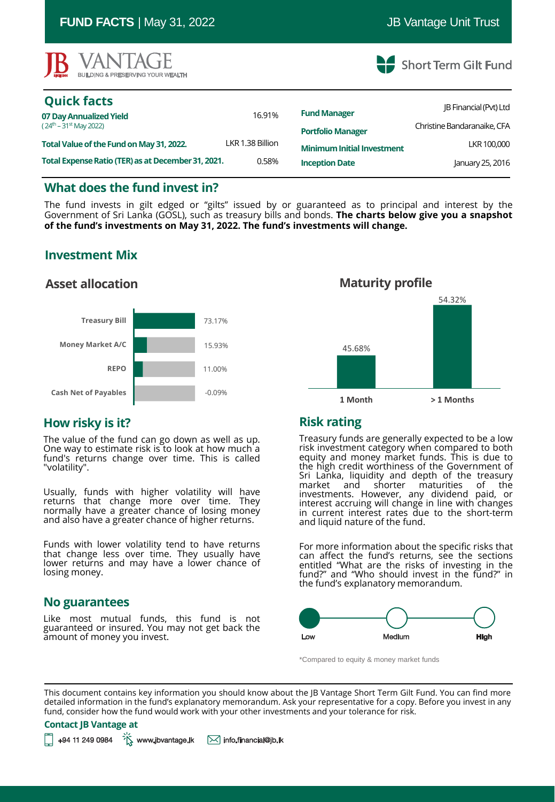| <b>IB</b> VANTAGE<br><b>BUILDING &amp; PRESERVING YOUR WEALTH</b> |                  |                                   | Short Term Gilt Fund          |
|-------------------------------------------------------------------|------------------|-----------------------------------|-------------------------------|
| <b>Quick facts</b>                                                |                  | <b>Fund Manager</b>               | <b>IB Financial (Pvt) Ltd</b> |
| 07 Day Annualized Yield<br>$(24th - 31st$ May 2022)               | 16.91%           | <b>Portfolio Manager</b>          | Christine Bandaranaike, CFA   |
| Total Value of the Fund on May 31, 2022.                          | LKR 1.38 Billion | <b>Minimum Initial Investment</b> | LKR 100,000                   |
| Total Expense Ratio (TER) as at December 31, 2021.                | 0.58%            | <b>Inception Date</b>             | January 25, 2016              |

**FUND FACTS** | May 31, 2022 **JB** Vantage Unit Trust

## **What does the fund invest in?**

The fund invests in gilt edged or "gilts" issued by or guaranteed as to principal and interest by the Government of Sri Lanka (GOSL), such as treasury bills and bonds. **The charts below give you a snapshot of the fund's investments on May 31, 2022. The fund's investments will change.**

# **Investment Mix**

## **Asset allocation**



# **How risky is it?**

The value of the fund can go down as well as up. One way to estimate risk is to look at how much a fund's returns change over time. This is called "volatility".

Usually, funds with higher volatility will have returns that change more over time. They normally have a greater chance of losing money and also have a greater chance of higher returns.

Funds with lower volatility tend to have returns that change less over time. They usually have lower returns and may have a lower chance of losing money.

#### **No guarantees**

Like most mutual funds, this fund is not guaranteed or insured. You may not get back the amount of money you invest.



## **Risk rating**

Treasury funds are generally expected to be a low risk investment category when compared to both equity and money market funds. This is due to the high credit worthiness of the Government of Sri Lanka, liquidity and depth of the treasury market and shorter maturities of the investments. However, any dividend paid, or interest accruing will change in line with changes in current interest rates due to the short-term and liquid nature of the fund.

For more information about the specific risks that can affect the fund's returns, see the sections entitled "What are the risks of investing in the fund?" and "Who should invest in the fund?" in the fund's explanatory memorandum.



\*Compared to equity & money market funds

This document contains key information you should know about the JB Vantage Short Term Gilt Fund. You can find more detailed information in the fund's explanatory memorandum. Ask your representative for a copy. Before you invest in any fund, consider how the fund would work with your other investments and your tolerance for risk.

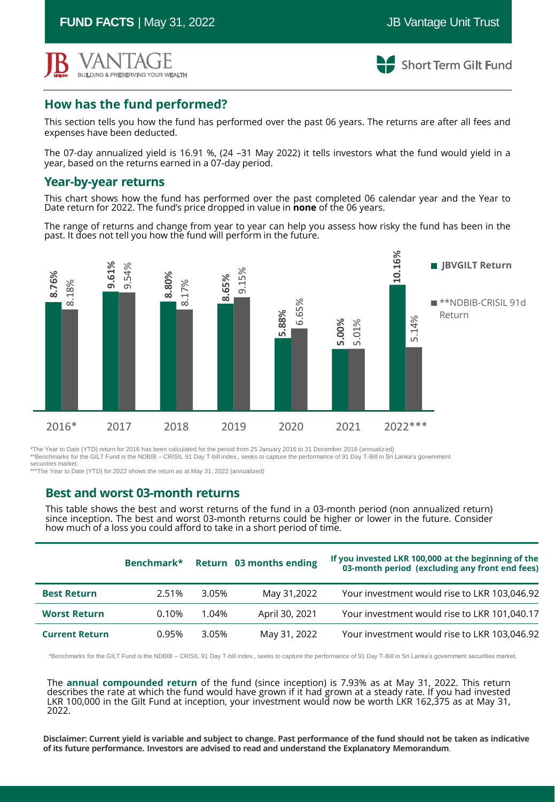**FUND FACTS** | May 31, 2022 **JB** Vantage Unit Trust



**Short Term Gilt Fund** 

# **How has the fund performed?**

This section tells you how the fund has performed over the past 06 years. The returns are after all fees and expenses have been deducted.

The 07-day annualized yield is 16.91 %, (24 –31 May 2022) it tells investors what the fund would yield in a year, based on the returns earned in a 07-day period.

#### **Year-by-year returns**

This chart shows how the fund has performed over the past completed 06 calendar year and the Year to Date return for 2022. The fund's price dropped in value in **none** of the 06 years.

The range of returns and change from year to year can help you assess how risky the fund has been in the past. It does not tell you how the fund will perform in the future.



\*The Year to Date (YTD) return for 2016 has been calculated for the period from 25 January 2016 to 31 December 2016 (annualized) \*\*Benchmarks for the GILT Fund is the NDBIB – CRISIL 91 Day T-bill index., seeks to capture the performance of 91 Day T-Bill in Sri Lanka's government securities market. \*\*\*The Year to Date (YTD) for 2022 shows the return as at May 31, 2022 (annualized)

#### **Best and worst 03-month returns**

This table shows the best and worst returns of the fund in a 03-month period (non annualized return) since inception. The best and worst 03-month returns could be higher or lower in the future. Consider how much of a loss you could afford to take in a short period of time.

|                       | Benchmark* |       | Return 03 months ending | If you invested LKR 100,000 at the beginning of the<br>03-month period (excluding any front end fees) |
|-----------------------|------------|-------|-------------------------|-------------------------------------------------------------------------------------------------------|
| <b>Best Return</b>    | 2.51%      | 3.05% | May 31,2022             | Your investment would rise to LKR 103,046.92                                                          |
| <b>Worst Return</b>   | 0.10%      | 1.04% | April 30, 2021          | Your investment would rise to LKR 101,040.17                                                          |
| <b>Current Return</b> | 0.95%      | 3.05% | May 31, 2022            | Your investment would rise to LKR 103,046.92                                                          |

\*Benchmarks for the GILT Fund is the NDBIB – CRISIL 91 Day T-bill index., seeks to capture the performance of 91 Day T-Bill in Sri Lanka's government securities market.

The **annual compounded return** of the fund (since inception) is 7.93% as at May 31, 2022. This return describes the rate at which the fund would have grown if it had grown at a steady rate. If you had invested LKR 100,000 in the Gilt Fund at inception, your investment would now be worth LKR 162,375 as at May 31, 2022.

Disclaimer: Current yield is variable and subject to change. Past performance of the fund should not be taken as indicative<br>of its future performance. Investors are advised to read and understand the Explanatory Memorandum